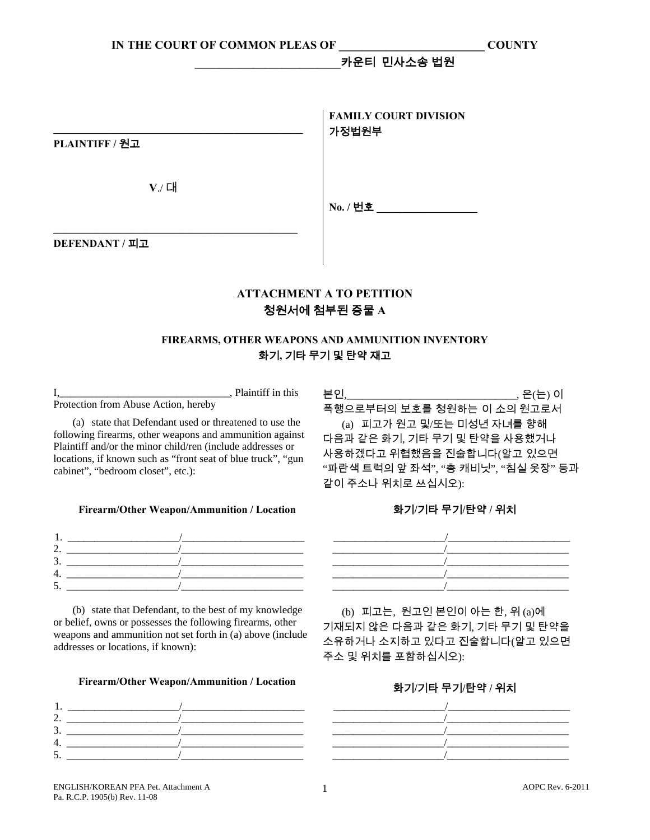### **\_\_\_\_\_\_\_\_\_\_\_\_\_\_\_\_\_\_\_\_\_\_\_\_\_**카운티민사소송 법원

|                | <b>FAMILY COURT DIVISION</b><br>가정법원부 |
|----------------|---------------------------------------|
| PLAINTIFF / 원고 |                                       |
| V./ 대          | No. / 번호                              |
| DEFENDANT / 피고 |                                       |

## **ATTACHMENT А TO PETITION**  청원서에 첨부된 증물 **A**

## **FIREARMS, OTHER WEAPONS AND AMMUNITION INVENTORY**  화기**,** 기타 무기 및 탄약 재고

I,  $\frac{1}{2}$ , Plaintiff in this Protection from Abuse Action, hereby

 (a) state that Defendant used or threatened to use the following firearms, other weapons and ammunition against Plaintiff and/or the minor child/ren (include addresses or locations, if known such as "front seat of blue truck", "gun cabinet", "bedroom closet", etc.):

### **Firearm/Other Weapon/Ammunition / Location** 화기**/**기타 무기**/**탄약 **/** 위치



 (b) state that Defendant, to the best of my knowledge or belief, owns or possesses the following firearms, other weapons and ammunition not set forth in (a) above (include addresses or locations, if known):

## **Firearm/Other Weapon/Ammunition / Location** 화기**/**기타 무기**/**탄약 **/** 위치



본인,\_\_\_\_\_\_\_\_\_\_\_\_\_\_\_\_\_\_\_\_\_\_\_\_\_\_\_\_\_\_\_\_, 은(는) 이

폭행으로부터의 보호를 청원하는 이 소의 원고로서

 (a) 피고가 원고 및/또는 미성년 자녀를 향해 다음과 같은 화기, 기타 무기 및 탄약을 사용했거나 사용하겠다고 위협했음을 진술합니다(알고 있으면 "파란색 트럭의 앞 좌석", "총 캐비닛", "침실 옷장" 등과 같이 주소나 위치로 쓰십시오):



 (b) 피고는, 원고인 본인이 아는 한, 위 (a)에 기재되지 않은 다음과 같은 화기, 기타 무기 및 탄약을 소유하거나 소지하고 있다고 진술합니다(알고 있으면 주소 및 위치를 포함하십시오):